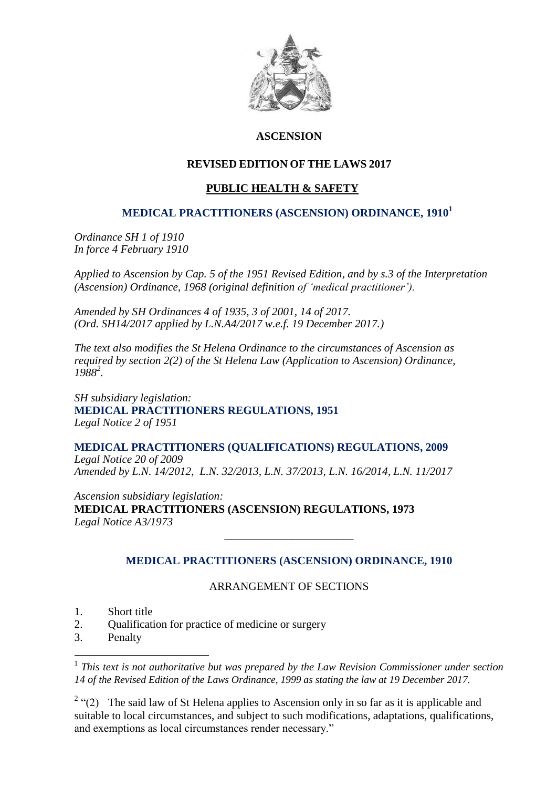

## **ASCENSION**

### **REVISED EDITION OF THE LAWS 2017**

# **PUBLIC HEALTH & SAFETY**

#### **MEDICAL PRACTITIONERS (ASCENSION) ORDINANCE, 1910<sup>1</sup>**

*Ordinance SH 1 of 1910 In force 4 February 1910*

*Applied to Ascension by Cap. 5 of the 1951 Revised Edition, and by s.3 of the Interpretation (Ascension) Ordinance, 1968 (original definition of 'medical practitioner').*

*Amended by SH Ordinances 4 of 1935, 3 of 2001, 14 of 2017. (Ord. SH14/2017 applied by L.N.A4/2017 w.e.f. 19 December 2017.)*

*The text also modifies the St Helena Ordinance to the circumstances of Ascension as required by section 2(2) of the St Helena Law (Application to Ascension) Ordinance, 1988<sup>2</sup> .*

*SH subsidiary legislation:* **MEDICAL PRACTITIONERS REGULATIONS, 1951**  *Legal Notice 2 of 1951*

**MEDICAL PRACTITIONERS (QUALIFICATIONS) REGULATIONS, 2009**  *Legal Notice 20 of 2009 Amended by L.N. 14/2012, L.N. 32/2013, L.N. 37/2013, L.N. 16/2014, L.N. 11/2017*

*Ascension subsidiary legislation:* **MEDICAL PRACTITIONERS (ASCENSION) REGULATIONS, 1973** *Legal Notice A3/1973*

# **MEDICAL PRACTITIONERS (ASCENSION) ORDINANCE, 1910**

\_\_\_\_\_\_\_\_\_\_\_\_\_\_\_\_\_\_\_\_\_\_\_

#### ARRANGEMENT OF SECTIONS

- 1. Short title
- 2. Qualification for practice of medicine or surgery
- 3. Penalty

1

<sup>1</sup> This text is not authoritative but was prepared by the Law Revision Commissioner under section *14 of the Revised Edition of the Laws Ordinance, 1999 as stating the law at 19 December 2017.*

<sup>2</sup> "(2) The said law of St Helena applies to Ascension only in so far as it is applicable and suitable to local circumstances, and subject to such modifications, adaptations, qualifications, and exemptions as local circumstances render necessary."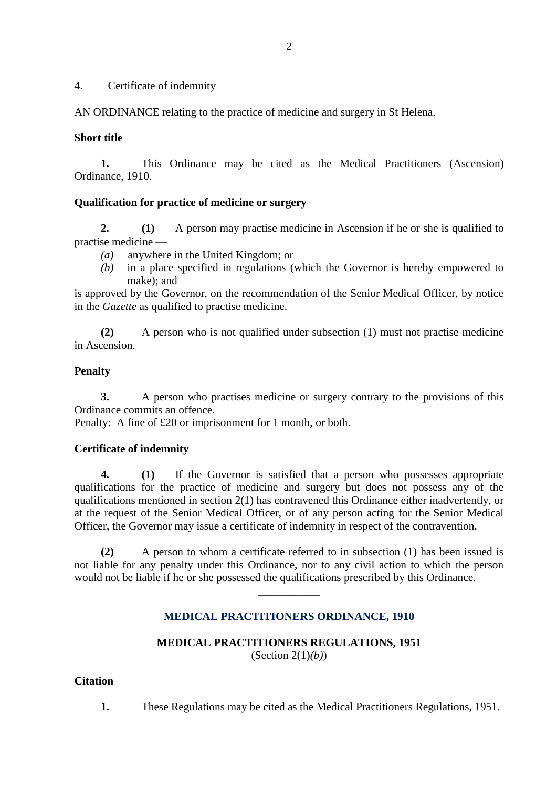#### 4. Certificate of indemnity

AN ORDINANCE relating to the practice of medicine and surgery in St Helena.

#### **Short title**

**1.** This Ordinance may be cited as the Medical Practitioners (Ascension) Ordinance, 1910.

#### **Qualification for practice of medicine or surgery**

**2. (1)** A person may practise medicine in Ascension if he or she is qualified to practise medicine

- *(a)* anywhere in the United Kingdom; or
- *(b)* in a place specified in regulations (which the Governor is hereby empowered to make); and

is approved by the Governor, on the recommendation of the Senior Medical Officer, by notice in the *Gazette* as qualified to practise medicine.

**(2)** A person who is not qualified under subsection (1) must not practise medicine in Ascension.

#### **Penalty**

**3.** A person who practises medicine or surgery contrary to the provisions of this Ordinance commits an offence.

Penalty: A fine of £20 or imprisonment for 1 month, or both.

#### **Certificate of indemnity**

**4. (1)** If the Governor is satisfied that a person who possesses appropriate qualifications for the practice of medicine and surgery but does not possess any of the qualifications mentioned in section 2(1) has contravened this Ordinance either inadvertently, or at the request of the Senior Medical Officer, or of any person acting for the Senior Medical Officer, the Governor may issue a certificate of indemnity in respect of the contravention.

**(2)** A person to whom a certificate referred to in subsection (1) has been issued is not liable for any penalty under this Ordinance, nor to any civil action to which the person would not be liable if he or she possessed the qualifications prescribed by this Ordinance.

\_\_\_\_\_\_\_\_\_\_\_

# **MEDICAL PRACTITIONERS ORDINANCE, 1910**

# **MEDICAL PRACTITIONERS REGULATIONS, 1951** (Section 2(1)*(b)*)

### **Citation**

**1.** These Regulations may be cited as the Medical Practitioners Regulations, 1951.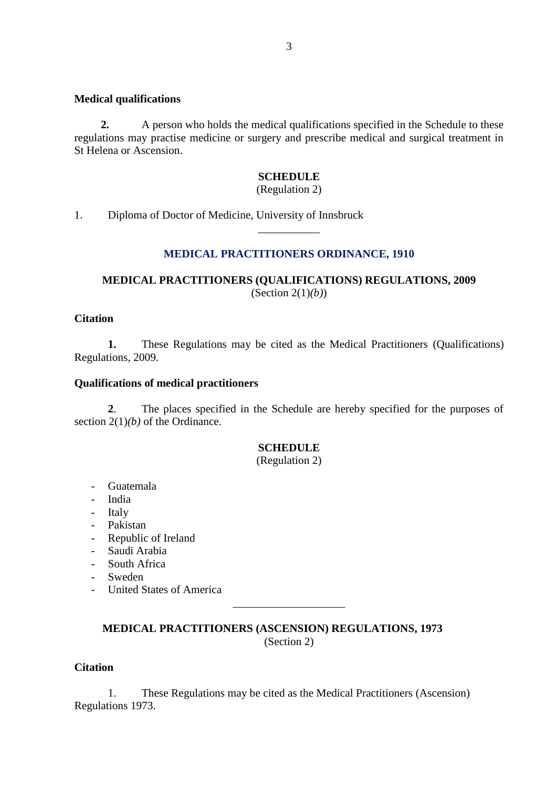#### **Medical qualifications**

**2.** A person who holds the medical qualifications specified in the Schedule to these regulations may practise medicine or surgery and prescribe medical and surgical treatment in St Helena or Ascension.

#### **SCHEDULE**

(Regulation 2)

1. Diploma of Doctor of Medicine, University of Innsbruck

# **MEDICAL PRACTITIONERS ORDINANCE, 1910**

\_\_\_\_\_\_\_\_\_\_\_

# **MEDICAL PRACTITIONERS (QUALIFICATIONS) REGULATIONS, 2009** (Section 2(1)*(b)*)

#### **Citation**

**1.** These Regulations may be cited as the Medical Practitioners (Qualifications) Regulations, 2009.

#### **Qualifications of medical practitioners**

**2**. The places specified in the Schedule are hereby specified for the purposes of section 2(1)*(b)* of the Ordinance.

## **SCHEDULE**

(Regulation 2)

- Guatemala
- India
- Italy
- Pakistan
- Republic of Ireland
- Saudi Arabia
- South Africa
- Sweden
- United States of America

 **MEDICAL PRACTITIONERS (ASCENSION) REGULATIONS, 1973** (Section 2)

\_\_\_\_\_\_\_\_\_\_\_\_\_\_\_\_\_\_\_\_

#### **Citation**

1. These Regulations may be cited as the Medical Practitioners (Ascension) Regulations 1973.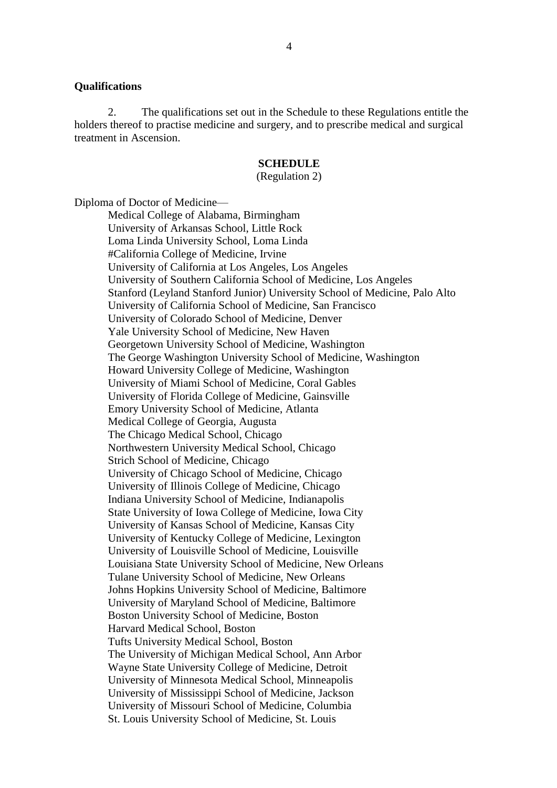#### **Qualifications**

2. The qualifications set out in the Schedule to these Regulations entitle the holders thereof to practise medicine and surgery, and to prescribe medical and surgical treatment in Ascension.

#### **SCHEDULE**

#### (Regulation 2)

Diploma of Doctor of Medicine—

Medical College of Alabama, Birmingham University of Arkansas School, Little Rock Loma Linda University School, Loma Linda #California College of Medicine, Irvine University of California at Los Angeles, Los Angeles University of Southern California School of Medicine, Los Angeles Stanford (Leyland Stanford Junior) University School of Medicine, Palo Alto University of California School of Medicine, San Francisco University of Colorado School of Medicine, Denver Yale University School of Medicine, New Haven Georgetown University School of Medicine, Washington The George Washington University School of Medicine, Washington Howard University College of Medicine, Washington University of Miami School of Medicine, Coral Gables University of Florida College of Medicine, Gainsville Emory University School of Medicine, Atlanta Medical College of Georgia, Augusta The Chicago Medical School, Chicago Northwestern University Medical School, Chicago Strich School of Medicine, Chicago University of Chicago School of Medicine, Chicago University of Illinois College of Medicine, Chicago Indiana University School of Medicine, Indianapolis State University of Iowa College of Medicine, Iowa City University of Kansas School of Medicine, Kansas City University of Kentucky College of Medicine, Lexington University of Louisville School of Medicine, Louisville Louisiana State University School of Medicine, New Orleans Tulane University School of Medicine, New Orleans Johns Hopkins University School of Medicine, Baltimore University of Maryland School of Medicine, Baltimore Boston University School of Medicine, Boston Harvard Medical School, Boston Tufts University Medical School, Boston The University of Michigan Medical School, Ann Arbor Wayne State University College of Medicine, Detroit University of Minnesota Medical School, Minneapolis University of Mississippi School of Medicine, Jackson University of Missouri School of Medicine, Columbia St. Louis University School of Medicine, St. Louis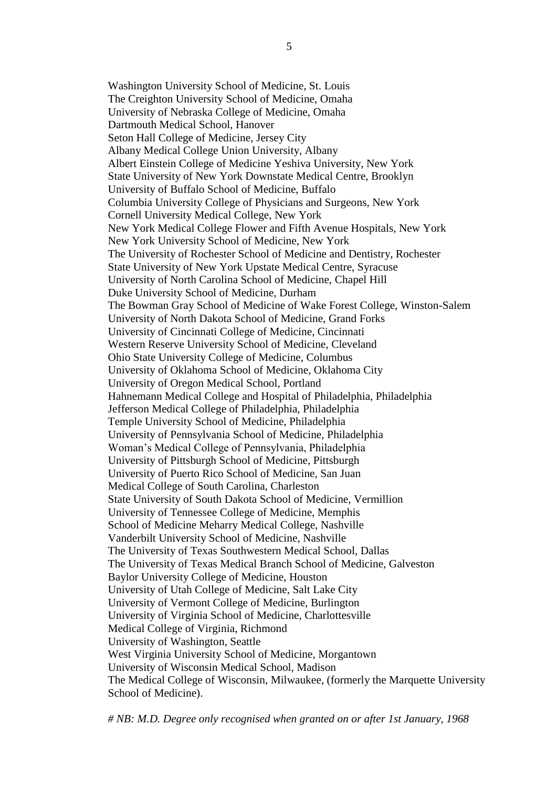Washington University School of Medicine, St. Louis The Creighton University School of Medicine, Omaha University of Nebraska College of Medicine, Omaha Dartmouth Medical School, Hanover Seton Hall College of Medicine, Jersey City Albany Medical College Union University, Albany Albert Einstein College of Medicine Yeshiva University, New York State University of New York Downstate Medical Centre, Brooklyn University of Buffalo School of Medicine, Buffalo Columbia University College of Physicians and Surgeons, New York Cornell University Medical College, New York New York Medical College Flower and Fifth Avenue Hospitals, New York New York University School of Medicine, New York The University of Rochester School of Medicine and Dentistry, Rochester State University of New York Upstate Medical Centre, Syracuse University of North Carolina School of Medicine, Chapel Hill Duke University School of Medicine, Durham The Bowman Gray School of Medicine of Wake Forest College, Winston-Salem University of North Dakota School of Medicine, Grand Forks University of Cincinnati College of Medicine, Cincinnati Western Reserve University School of Medicine, Cleveland Ohio State University College of Medicine, Columbus University of Oklahoma School of Medicine, Oklahoma City University of Oregon Medical School, Portland Hahnemann Medical College and Hospital of Philadelphia, Philadelphia Jefferson Medical College of Philadelphia, Philadelphia Temple University School of Medicine, Philadelphia University of Pennsylvania School of Medicine, Philadelphia Woman's Medical College of Pennsylvania, Philadelphia University of Pittsburgh School of Medicine, Pittsburgh University of Puerto Rico School of Medicine, San Juan Medical College of South Carolina, Charleston State University of South Dakota School of Medicine, Vermillion University of Tennessee College of Medicine, Memphis School of Medicine Meharry Medical College, Nashville Vanderbilt University School of Medicine, Nashville The University of Texas Southwestern Medical School, Dallas The University of Texas Medical Branch School of Medicine, Galveston Baylor University College of Medicine, Houston University of Utah College of Medicine, Salt Lake City University of Vermont College of Medicine, Burlington University of Virginia School of Medicine, Charlottesville Medical College of Virginia, Richmond University of Washington, Seattle West Virginia University School of Medicine, Morgantown University of Wisconsin Medical School, Madison The Medical College of Wisconsin, Milwaukee, (formerly the Marquette University School of Medicine).

*# NB: M.D. Degree only recognised when granted on or after 1st January, 1968*